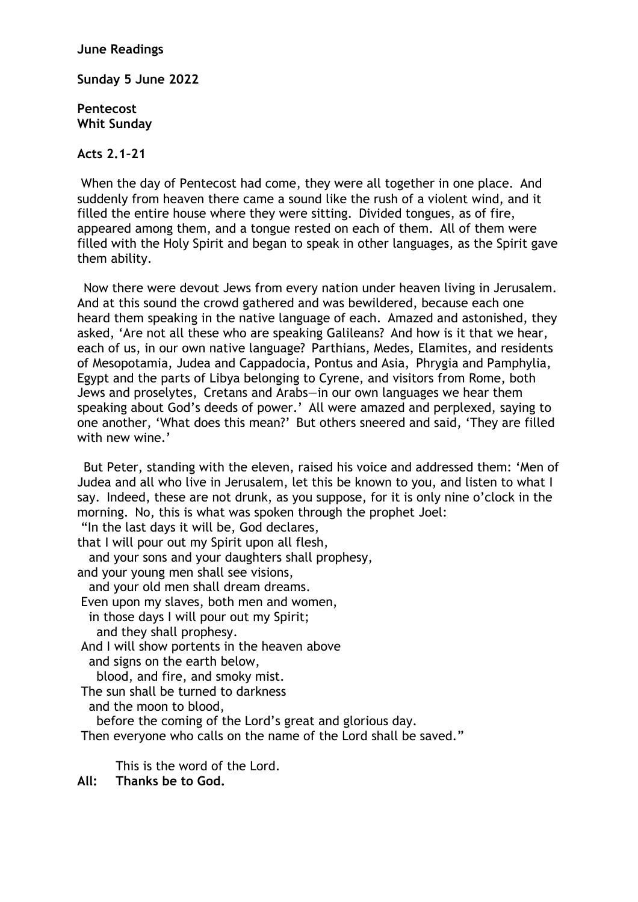### **June Readings**

**Sunday 5 June 2022**

#### **Pentecost Whit Sunday**

## **Acts 2.1–21**

When the day of Pentecost had come, they were all together in one place. And suddenly from heaven there came a sound like the rush of a violent wind, and it filled the entire house where they were sitting. Divided tongues, as of fire, appeared among them, and a tongue rested on each of them. All of them were filled with the Holy Spirit and began to speak in other languages, as the Spirit gave them ability.

Now there were devout Jews from every nation under heaven living in Jerusalem. And at this sound the crowd gathered and was bewildered, because each one heard them speaking in the native language of each. Amazed and astonished, they asked, 'Are not all these who are speaking Galileans? And how is it that we hear, each of us, in our own native language? Parthians, Medes, Elamites, and residents of Mesopotamia, Judea and Cappadocia, Pontus and Asia, Phrygia and Pamphylia, Egypt and the parts of Libya belonging to Cyrene, and visitors from Rome, both Jews and proselytes, Cretans and Arabs—in our own languages we hear them speaking about God's deeds of power.' All were amazed and perplexed, saying to one another, 'What does this mean?' But others sneered and said, 'They are filled with new wine.'

But Peter, standing with the eleven, raised his voice and addressed them: 'Men of Judea and all who live in Jerusalem, let this be known to you, and listen to what I say. Indeed, these are not drunk, as you suppose, for it is only nine o'clock in the morning. No, this is what was spoken through the prophet Joel:

"In the last days it will be, God declares,

that I will pour out my Spirit upon all flesh,

and your sons and your daughters shall prophesy,

and your young men shall see visions,

and your old men shall dream dreams.

Even upon my slaves, both men and women,

 in those days I will pour out my Spirit; and they shall prophesy.

And I will show portents in the heaven above

and signs on the earth below,

blood, and fire, and smoky mist.

The sun shall be turned to darkness

and the moon to blood,

before the coming of the Lord's great and glorious day.

Then everyone who calls on the name of the Lord shall be saved."

This is the word of the Lord.

**All: Thanks be to God.**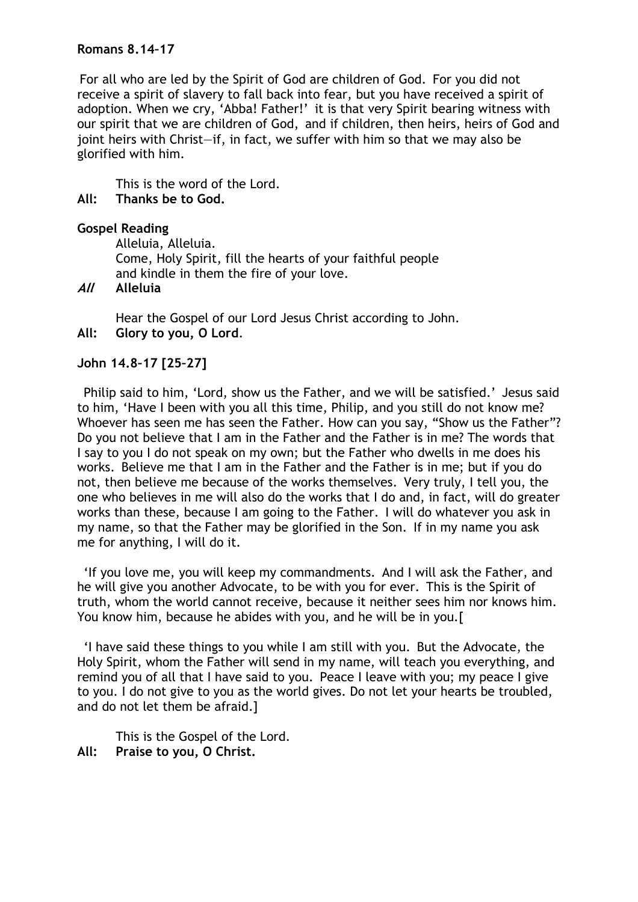## **Romans 8.14–17**

For all who are led by the Spirit of God are children of God. For you did not receive a spirit of slavery to fall back into fear, but you have received a spirit of adoption. When we cry, 'Abba! Father!' it is that very Spirit bearing witness with our spirit that we are children of God, and if children, then heirs, heirs of God and joint heirs with Christ—if, in fact, we suffer with him so that we may also be glorified with him.

This is the word of the Lord.

## **All: Thanks be to God.**

## **Gospel Reading**

Alleluia, Alleluia. Come, Holy Spirit, fill the hearts of your faithful people and kindle in them the fire of your love.

**All Alleluia**

Hear the Gospel of our Lord Jesus Christ according to John. **All: Glory to you, O Lord**.

## **John 14.8–17 [25–27]**

Philip said to him, 'Lord, show us the Father, and we will be satisfied.' Jesus said to him, 'Have I been with you all this time, Philip, and you still do not know me? Whoever has seen me has seen the Father. How can you say, "Show us the Father"? Do you not believe that I am in the Father and the Father is in me? The words that I say to you I do not speak on my own; but the Father who dwells in me does his works. Believe me that I am in the Father and the Father is in me; but if you do not, then believe me because of the works themselves. Very truly, I tell you, the one who believes in me will also do the works that I do and, in fact, will do greater works than these, because I am going to the Father. I will do whatever you ask in my name, so that the Father may be glorified in the Son. If in my name you ask me for anything, I will do it.

'If you love me, you will keep my commandments. And I will ask the Father, and he will give you another Advocate, to be with you for ever. This is the Spirit of truth, whom the world cannot receive, because it neither sees him nor knows him. You know him, because he abides with you, and he will be in you.

'I have said these things to you while I am still with you. But the Advocate, the Holy Spirit, whom the Father will send in my name, will teach you everything, and remind you of all that I have said to you. Peace I leave with you; my peace I give to you. I do not give to you as the world gives. Do not let your hearts be troubled, and do not let them be afraid.]

This is the Gospel of the Lord. **All: Praise to you, O Christ.**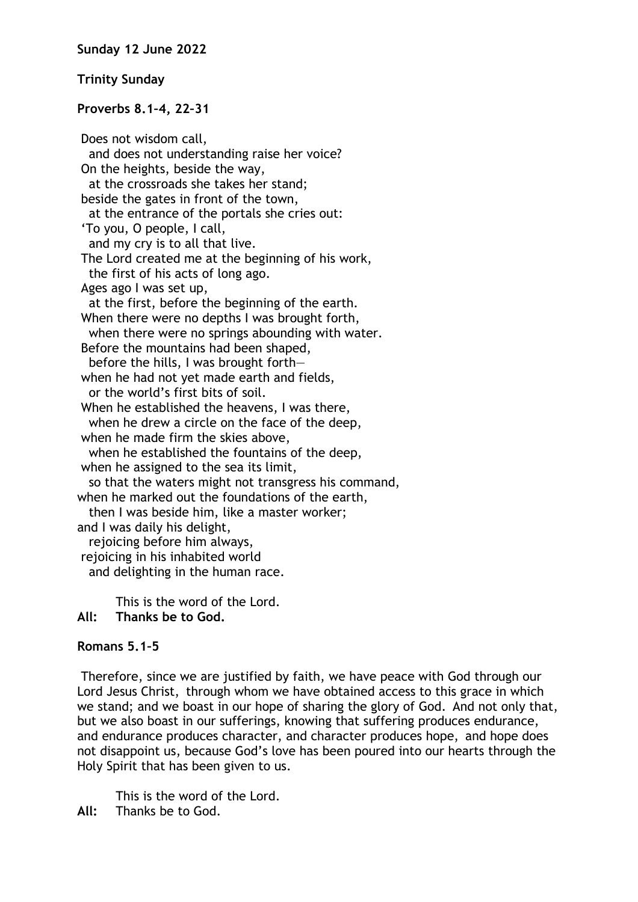**Sunday 12 June 2022**

# **Trinity Sunday**

## **Proverbs 8.1–4, 22–31**

Does not wisdom call, and does not understanding raise her voice? On the heights, beside the way, at the crossroads she takes her stand; beside the gates in front of the town, at the entrance of the portals she cries out: 'To you, O people, I call, and my cry is to all that live. The Lord created me at the beginning of his work, the first of his acts of long ago. Ages ago I was set up, at the first, before the beginning of the earth. When there were no depths I was brought forth, when there were no springs abounding with water. Before the mountains had been shaped, before the hills, I was brought forth when he had not yet made earth and fields, or the world's first bits of soil. When he established the heavens, I was there, when he drew a circle on the face of the deep, when he made firm the skies above, when he established the fountains of the deep. when he assigned to the sea its limit, so that the waters might not transgress his command, when he marked out the foundations of the earth, then I was beside him, like a master worker; and I was daily his delight, rejoicing before him always, rejoicing in his inhabited world and delighting in the human race.

This is the word of the Lord. **All: Thanks be to God.**

## **Romans 5.1–5**

Therefore, since we are justified by faith, we have peace with God through our Lord Jesus Christ, through whom we have obtained access to this grace in which we stand; and we boast in our hope of sharing the glory of God. And not only that, but we also boast in our sufferings, knowing that suffering produces endurance, and endurance produces character, and character produces hope, and hope does not disappoint us, because God's love has been poured into our hearts through the Holy Spirit that has been given to us.

This is the word of the Lord. **All:** Thanks be to God.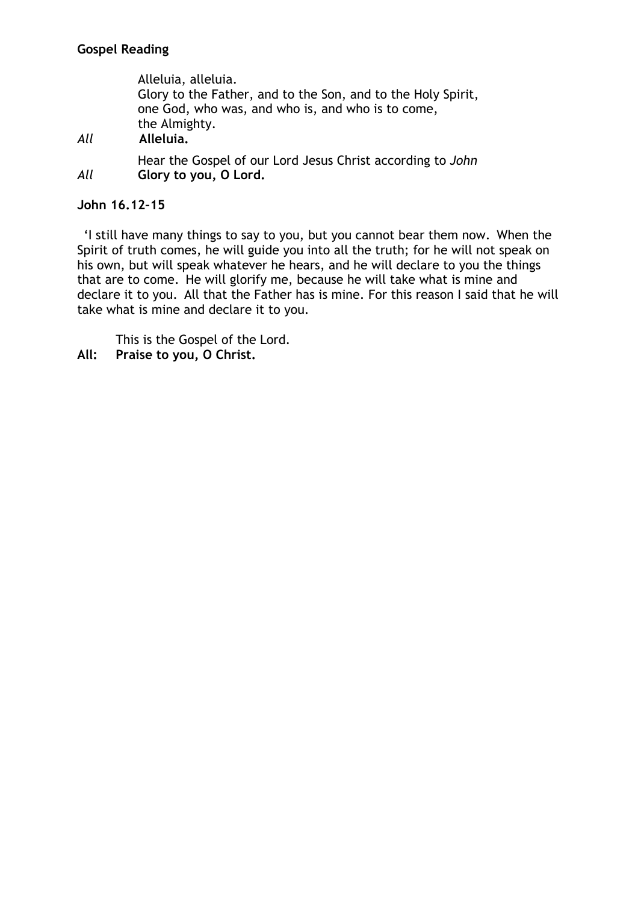| All | Alleluia, alleluia.<br>Glory to the Father, and to the Son, and to the Holy Spirit,<br>one God, who was, and who is, and who is to come,<br>the Almighty.<br>Alleluia. |
|-----|------------------------------------------------------------------------------------------------------------------------------------------------------------------------|
| All | Hear the Gospel of our Lord Jesus Christ according to John<br>Glory to you, O Lord.                                                                                    |

## **John 16.12–15**

'I still have many things to say to you, but you cannot bear them now. When the Spirit of truth comes, he will guide you into all the truth; for he will not speak on his own, but will speak whatever he hears, and he will declare to you the things that are to come. He will glorify me, because he will take what is mine and declare it to you. All that the Father has is mine. For this reason I said that he will take what is mine and declare it to you.

This is the Gospel of the Lord. **All: Praise to you, O Christ.**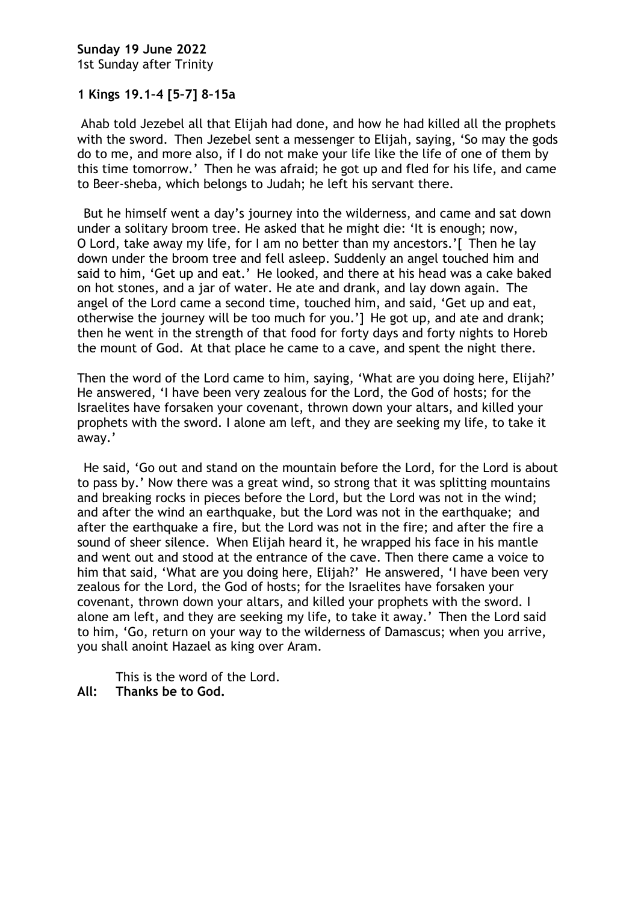### **1 Kings 19.1–4 [5–7] 8–15a**

Ahab told Jezebel all that Elijah had done, and how he had killed all the prophets with the sword. Then Jezebel sent a messenger to Elijah, saying, 'So may the gods do to me, and more also, if I do not make your life like the life of one of them by this time tomorrow.' Then he was afraid; he got up and fled for his life, and came to Beer-sheba, which belongs to Judah; he left his servant there.

But he himself went a day's journey into the wilderness, and came and sat down under a solitary broom tree. He asked that he might die: 'It is enough; now, O Lord, take away my life, for I am no better than my ancestors.'[ Then he lay down under the broom tree and fell asleep. Suddenly an angel touched him and said to him, 'Get up and eat.' He looked, and there at his head was a cake baked on hot stones, and a jar of water. He ate and drank, and lay down again. The angel of the Lord came a second time, touched him, and said, 'Get up and eat, otherwise the journey will be too much for you.'] He got up, and ate and drank; then he went in the strength of that food for forty days and forty nights to Horeb the mount of God. At that place he came to a cave, and spent the night there.

Then the word of the Lord came to him, saying, 'What are you doing here, Elijah?' He answered, 'I have been very zealous for the Lord, the God of hosts; for the Israelites have forsaken your covenant, thrown down your altars, and killed your prophets with the sword. I alone am left, and they are seeking my life, to take it away.'

He said, 'Go out and stand on the mountain before the Lord, for the Lord is about to pass by.' Now there was a great wind, so strong that it was splitting mountains and breaking rocks in pieces before the Lord, but the Lord was not in the wind; and after the wind an earthquake, but the Lord was not in the earthquake; and after the earthquake a fire, but the Lord was not in the fire; and after the fire a sound of sheer silence. When Elijah heard it, he wrapped his face in his mantle and went out and stood at the entrance of the cave. Then there came a voice to him that said, 'What are you doing here, Elijah?' He answered, 'I have been very zealous for the Lord, the God of hosts; for the Israelites have forsaken your covenant, thrown down your altars, and killed your prophets with the sword. I alone am left, and they are seeking my life, to take it away.' Then the Lord said to him, 'Go, return on your way to the wilderness of Damascus; when you arrive, you shall anoint Hazael as king over Aram.

This is the word of the Lord. **All: Thanks be to God.**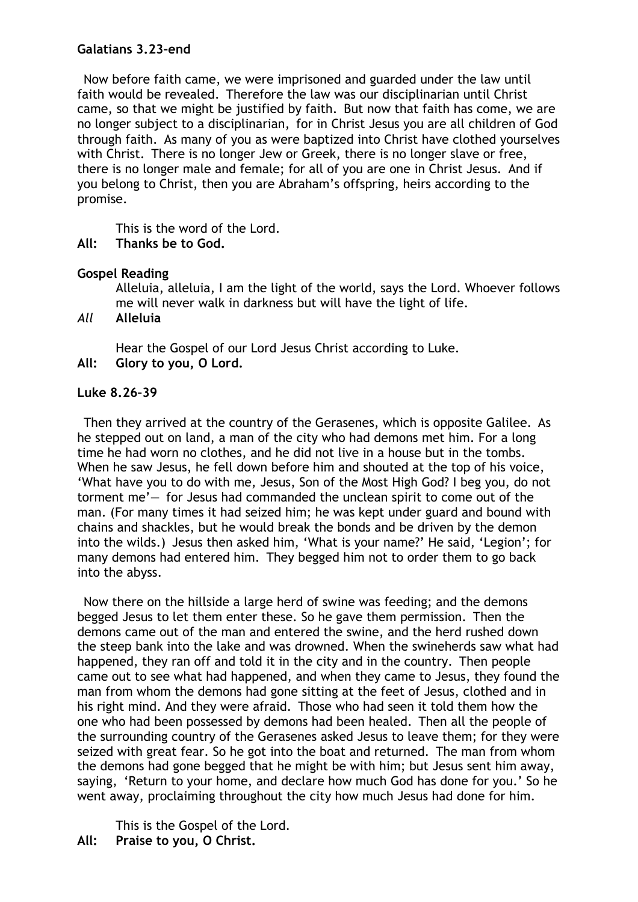## **Galatians 3.23–end**

Now before faith came, we were imprisoned and guarded under the law until faith would be revealed. Therefore the law was our disciplinarian until Christ came, so that we might be justified by faith. But now that faith has come, we are no longer subject to a disciplinarian, for in Christ Jesus you are all children of God through faith. As many of you as were baptized into Christ have clothed yourselves with Christ. There is no longer Jew or Greek, there is no longer slave or free, there is no longer male and female; for all of you are one in Christ Jesus. And if you belong to Christ, then you are Abraham's offspring, heirs according to the promise.

This is the word of the Lord.

**All: Thanks be to God.**

### **Gospel Reading**

Alleluia, alleluia, I am the light of the world, says the Lord. Whoever follows me will never walk in darkness but will have the light of life.

*All* **Alleluia**

Hear the Gospel of our Lord Jesus Christ according to Luke.

**All: Glory to you, O Lord.**

### **Luke 8.26–39**

Then they arrived at the country of the Gerasenes, which is opposite Galilee. As he stepped out on land, a man of the city who had demons met him. For a long time he had worn no clothes, and he did not live in a house but in the tombs. When he saw Jesus, he fell down before him and shouted at the top of his voice, 'What have you to do with me, Jesus, Son of the Most High God? I beg you, do not torment me'— for Jesus had commanded the unclean spirit to come out of the man. (For many times it had seized him; he was kept under guard and bound with chains and shackles, but he would break the bonds and be driven by the demon into the wilds.) Jesus then asked him, 'What is your name?' He said, 'Legion'; for many demons had entered him. They begged him not to order them to go back into the abyss.

Now there on the hillside a large herd of swine was feeding; and the demons begged Jesus to let them enter these. So he gave them permission. Then the demons came out of the man and entered the swine, and the herd rushed down the steep bank into the lake and was drowned. When the swineherds saw what had happened, they ran off and told it in the city and in the country. Then people came out to see what had happened, and when they came to Jesus, they found the man from whom the demons had gone sitting at the feet of Jesus, clothed and in his right mind. And they were afraid. Those who had seen it told them how the one who had been possessed by demons had been healed. Then all the people of the surrounding country of the Gerasenes asked Jesus to leave them; for they were seized with great fear. So he got into the boat and returned. The man from whom the demons had gone begged that he might be with him; but Jesus sent him away, saying, 'Return to your home, and declare how much God has done for you.' So he went away, proclaiming throughout the city how much Jesus had done for him.

This is the Gospel of the Lord. **All: Praise to you, O Christ.**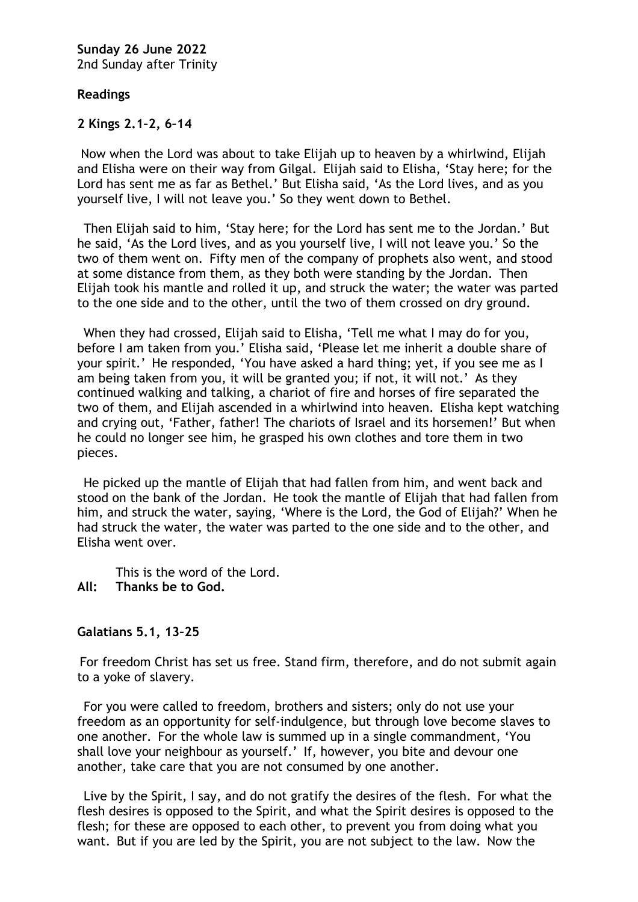**Sunday 26 June 2022** 2nd Sunday after Trinity

#### **Readings**

#### **2 Kings 2.1–2, 6–14**

Now when the Lord was about to take Elijah up to heaven by a whirlwind, Elijah and Elisha were on their way from Gilgal. Elijah said to Elisha, 'Stay here; for the Lord has sent me as far as Bethel.' But Elisha said, 'As the Lord lives, and as you yourself live, I will not leave you.' So they went down to Bethel.

Then Elijah said to him, 'Stay here; for the Lord has sent me to the Jordan.' But he said, 'As the Lord lives, and as you yourself live, I will not leave you.' So the two of them went on. Fifty men of the company of prophets also went, and stood at some distance from them, as they both were standing by the Jordan. Then Elijah took his mantle and rolled it up, and struck the water; the water was parted to the one side and to the other, until the two of them crossed on dry ground.

When they had crossed, Elijah said to Elisha, 'Tell me what I may do for you, before I am taken from you.' Elisha said, 'Please let me inherit a double share of your spirit.' He responded, 'You have asked a hard thing; yet, if you see me as I am being taken from you, it will be granted you; if not, it will not.' As they continued walking and talking, a chariot of fire and horses of fire separated the two of them, and Elijah ascended in a whirlwind into heaven. Elisha kept watching and crying out, 'Father, father! The chariots of Israel and its horsemen!' But when he could no longer see him, he grasped his own clothes and tore them in two pieces.

He picked up the mantle of Elijah that had fallen from him, and went back and stood on the bank of the Jordan. He took the mantle of Elijah that had fallen from him, and struck the water, saying, 'Where is the Lord, the God of Elijah?' When he had struck the water, the water was parted to the one side and to the other, and Elisha went over.

This is the word of the Lord.

**All: Thanks be to God.**

### **Galatians 5.1, 13–25**

For freedom Christ has set us free. Stand firm, therefore, and do not submit again to a yoke of slavery.

For you were called to freedom, brothers and sisters; only do not use your freedom as an opportunity for self-indulgence, but through love become slaves to one another. For the whole law is summed up in a single commandment, 'You shall love your neighbour as yourself.' If, however, you bite and devour one another, take care that you are not consumed by one another.

Live by the Spirit, I say, and do not gratify the desires of the flesh. For what the flesh desires is opposed to the Spirit, and what the Spirit desires is opposed to the flesh; for these are opposed to each other, to prevent you from doing what you want. But if you are led by the Spirit, you are not subject to the law. Now the